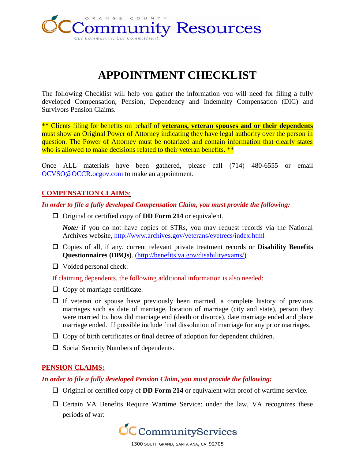

# **APPOINTMENT CHECKLIST**

The following Checklist will help you gather the information you will need for filing a fully developed Compensation, Pension, Dependency and Indemnity Compensation (DIC) and Survivors Pension Claims.

\*\* Clients filing for benefits on behalf of **veterans, veteran spouses and or their dependents** must show an Original Power of Attorney indicating they have legal authority over the person in question. The Power of Attorney must be notarized and contain information that clearly states who is allowed to make decisions related to their veteran benefits. \*\*

Once ALL materials have been gathered, please call (714) 480-6555 or email [OCVSO@OCCR.ocgov.com](mailto:OCVSO@OCCR.ocgov.com) to make an appointment.

## **COMPENSATION CLAIMS**:

*In order to file a fully developed Compensation Claim, you must provide the following:*

□ Original or certified copy of **DD Form 214** or equivalent.

*Note:* if you do not have copies of STRs, you may request records via the National Archives website,<http://www.archives.gov/veterans/evetrecs/index.html>

- Copies of all, if any, current relevant private treatment records or **Disability Benefits Questionnaires (DBQs)**. [\(http://benefits.va.gov/disabilityexams/\)](http://benefits.va.gov/disabilityexams/)
- $\Box$  Voided personal check.

If claiming dependents, the following additional information is also needed:

- $\Box$  Copy of marriage certificate.
- $\Box$  If veteran or spouse have previously been married, a complete history of previous marriages such as date of marriage, location of marriage (city and state), person they were married to, how did marriage end (death or divorce), date marriage ended and place marriage ended. If possible include final dissolution of marriage for any prior marriages.
- $\Box$  Copy of birth certificates or final decree of adoption for dependent children.
- $\Box$  Social Security Numbers of dependents.

#### **PENSION CLAIMS:**

*In order to file a fully developed Pension Claim, you must provide the following:*

- $\Box$  Original or certified copy of **DD Form 214** or equivalent with proof of wartime service.
- $\square$  Certain VA Benefits Require Wartime Service: under the law, VA recognizes these periods of war:

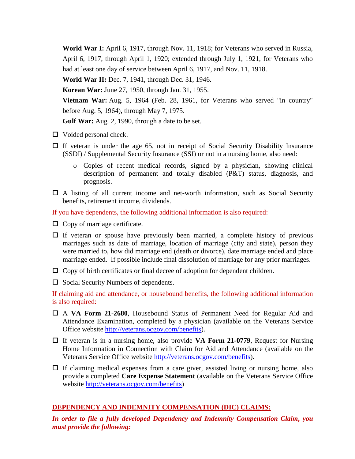**World War I:** April 6, 1917, through Nov. 11, 1918; for Veterans who served in Russia, April 6, 1917, through April 1, 1920; extended through July 1, 1921, for Veterans who had at least one day of service between April 6, 1917, and Nov. 11, 1918.

**World War II:** Dec. 7, 1941, through Dec. 31, 1946.

**Korean War:** June 27, 1950, through Jan. 31, 1955.

**Vietnam War:** Aug. 5, 1964 (Feb. 28, 1961, for Veterans who served "in country" before Aug. 5, 1964), through May 7, 1975.

**Gulf War:** Aug. 2, 1990, through a date to be set.

- $\Box$  Voided personal check.
- $\Box$  If veteran is under the age 65, not in receipt of Social Security Disability Insurance (SSDI) / Supplemental Security Insurance (SSI) or not in a nursing home, also need:
	- o Copies of recent medical records, signed by a physician, showing clinical description of permanent and totally disabled (P&T) status, diagnosis, and prognosis.
- $\Box$  A listing of all current income and net-worth information, such as Social Security benefits, retirement income, dividends.

If you have dependents, the following additional information is also required:

- $\Box$  Copy of marriage certificate.
- $\Box$  If veteran or spouse have previously been married, a complete history of previous marriages such as date of marriage, location of marriage (city and state), person they were married to, how did marriage end (death or divorce), date marriage ended and place marriage ended. If possible include final dissolution of marriage for any prior marriages.
- $\Box$  Copy of birth certificates or final decree of adoption for dependent children.
- $\Box$  Social Security Numbers of dependents.

If claiming aid and attendance, or housebound benefits, the following additional information is also required:

- A **VA Form 21-2680**, Housebound Status of Permanent Need for Regular Aid and Attendance Examination, completed by a physician (available on the Veterans Service Office website<http://veterans.ocgov.com/>benefits).
- If veteran is in a nursing home, also provide **VA Form 21-0779**, Request for Nursing Home Information in Connection with Claim for Aid and Attendance (available on the Veterans Service Office website<http://veterans.ocgov.com/>benefits).
- $\Box$  If claiming medical expenses from a care giver, assisted living or nursing home, also provide a completed **Care Expense Statement** (available on the Veterans Service Office website<http://veterans.ocgov.com/>benefits)

## **DEPENDENCY AND INDEMNITY COMPENSATION (DIC) CLAIMS:**

*In order to file a fully developed Dependency and Indemnity Compensation Claim, you must provide the following:*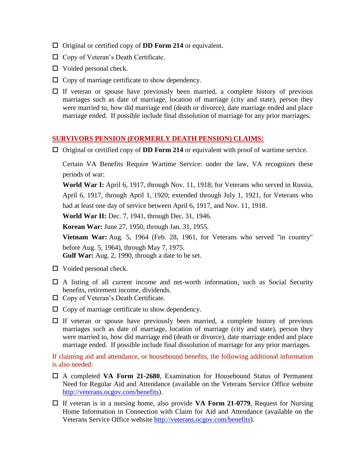- □ Original or certified copy of **DD Form 214** or equivalent.
- □ Copy of Veteran's Death Certificate.
- $\Box$  Voided personal check.
- $\Box$  Copy of marriage certificate to show dependency.
- $\Box$  If veteran or spouse have previously been married, a complete history of previous marriages such as date of marriage, location of marriage (city and state), person they were married to, how did marriage end (death or divorce), date marriage ended and place marriage ended. If possible include final dissolution of marriage for any prior marriages.

### **SURVIVORS PENSION (FORMERLY DEATH PENSION) CLAIMS:**

 $\Box$  Original or certified copy of **DD Form 214** or equivalent with proof of wartime service.

Certain VA Benefits Require Wartime Service: under the law, VA recognizes these periods of war:

**World War I:** April 6, 1917, through Nov. 11, 1918; for Veterans who served in Russia, April 6, 1917, through April 1, 1920; extended through July 1, 1921, for Veterans who had at least one day of service between April 6, 1917, and Nov. 11, 1918.

**World War II:** Dec. 7, 1941, through Dec. 31, 1946.

**Korean War:** June 27, 1950, through Jan. 31, 1955.

**Vietnam War:** Aug. 5, 1964 (Feb. 28, 1961, for Veterans who served "in country" before Aug. 5, 1964), through May 7, 1975.

**Gulf War:** Aug. 2, 1990, through a date to be set.

- $\Box$  Voided personal check.
- $\Box$  A listing of all current income and net-worth information, such as Social Security benefits, retirement income, dividends.
- □ Copy of Veteran's Death Certificate.
- $\Box$  Copy of marriage certificate to show dependency.
- $\Box$  If veteran or spouse have previously been married, a complete history of previous marriages such as date of marriage, location of marriage (city and state), person they were married to, how did marriage end (death or divorce), date marriage ended and place marriage ended. If possible include final dissolution of marriage for any prior marriages.

If claiming aid and attendance, or housebound benefits, the following additional information is also needed:

- A completed **VA Form 21-2680**, Examination for Housebound Status of Permanent Need for Regular Aid and Attendance (available on the Veterans Service Office website <http://veterans.ocgov.com/>benefits).
- If veteran is in a nursing home, also provide **VA Form 21-0779**, Request for Nursing Home Information in Connection with Claim for Aid and Attendance (available on the Veterans Service Office website<http://veterans.ocgov.com/>benefits).